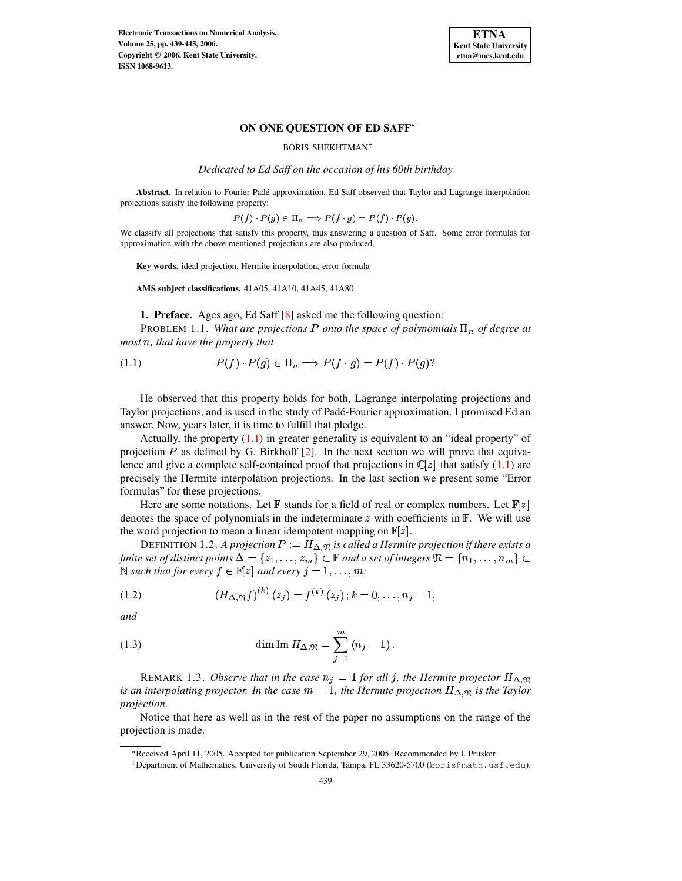

## **ON ONE QUESTION OF ED SAFF**

BORIS SHEKHTMAN

*Dedicated to Ed Saff on the occasion of his 60th birthday*

**Abstract.** In relation to Fourier-Pade´ approximation, Ed Saff observed that Taylor and Lagrange interpolation projections satisfy the following property:

$$
P(f) \cdot P(g) \in \Pi_n \Longrightarrow P(f \cdot g) = P(f) \cdot P(g).
$$

We classify all projections that satisfy this property, thus answering a question of Saff. Some error formulas for approximation with the above-mentioned projections are also produced.

**Key words.** ideal projection, Hermite interpolation, error formula

**AMS subject classifications.** 41A05, 41A10, 41A45, 41A80

<span id="page-0-0"></span>**1. Preface.** Ages ago, Ed Saff [\[8\]](#page-6-0) asked me the following question:

**PROBLEM 1.1.** What are projections P onto the space of polynomials  $\Pi_n$  of degree at *most* (*, that have the property that*

$$
(1.1) \tP(f) \cdot P(g) \in \Pi_n \implies P(f \cdot g) = P(f) \cdot P(g)?
$$

He observed that this property holds for both, Lagrange interpolating projections and Taylor projections, and is used in the study of Padé-Fourier approximation. I promised Ed an answer. Now, years later, it is time to fulfill that pledge.

Actually, the property  $(1.1)$  in greater generality is equivalent to an "ideal property" of projection  $P$  as defined by G. Birkhoff [\[2\]](#page-6-1). In the next section we will prove that equivalence and give a complete self-contained proof that projections in  $\mathbb{C}[z]$  that satisfy [\(1.1\)](#page-0-0) are precisely the Hermite interpolation projections. In the last section we present some "Error formulas" for these projections.

Here are some notations. Let  $\mathbb F$  stands for a field of real or complex numbers. Let  $\mathbb F[z]$ denotes the space of polynomials in the indeterminate  $z$  with coefficients in  $\mathbb{F}$ . We will use the word projection to mean a linear idempotent mapping on  $\mathbb{F}[z]$ .

DEFINITION 1.2. *A projection*  $P := H_{\Delta, \mathfrak{N}}$  *is called a Hermite projection if there exists a finite* set of distinct points  $\Delta = \{z_1, \ldots, z_m\} \subset \mathbb{F}$  and a set of integers  $\mathfrak{N} = \{n_1, \ldots, n_m\} \subset$  $\mathbb{N}$  *such that for every*  $f \in \mathbb{F}[z]$  *and every*  $j = 1, \ldots, m$ :

<span id="page-0-1"></span>(1.2) 
$$
(H_{\Delta,\mathfrak{N}}f)^{(k)}(z_j) = f^{(k)}(z_j); k = 0,\ldots,n_j-1,
$$

<span id="page-0-2"></span>*and*

(1.3) 
$$
\dim \text{Im } H_{\Delta,\mathfrak{N}} = \sum_{j=1}^{m} (n_j - 1).
$$

REMARK 1.3. *Observe that in the case*  $n_j = 1$  *for all j, the Hermite projector*  $H_{\Delta,\mathfrak{N}}$ *is* an interpolating projector. In the case  $m = 1$ , the Hermite projection  $H_{\Delta,\mathfrak{N}}$  is the Taylor *projection.*

Notice that here as well as in the rest of the paper no assumptions on the range of the projection is made.

<sup>\*</sup> Received April 11, 2005. Accepted for publication September 29, 2005. Recommended by I. Pritsker.

 $^\dagger$ Department of Mathematics, University of South Florida, Tampa, FL 33620-5700 (boris@math.usf.edu).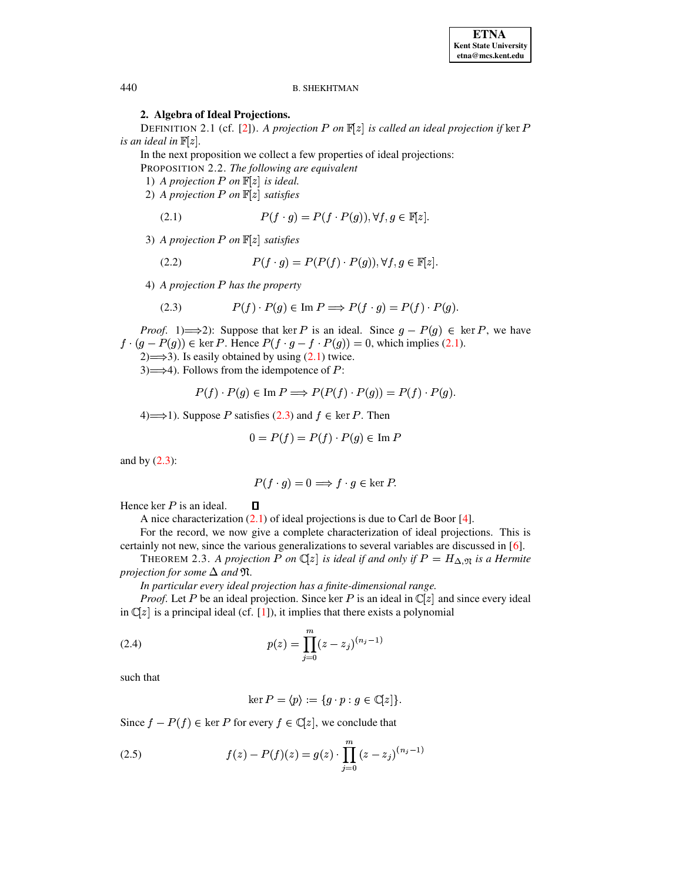### **B. SHEKHTMAN**

# 2. Algebra of Ideal Projections.

DEFINITION 2.1 (cf. [2]). A projection P on  $\mathbb{F}[z]$  is called an ideal projection if ker P is an ideal in  $\mathbb{F}[z]$ .

In the next proposition we collect a few properties of ideal projections:

PROPOSITION 2.2. The following are equivalent

- 1) A projection P on  $\mathbb{F}[z]$  is ideal.
- 2) A projection P on  $\mathbb{F}[z]$  satisfies

<span id="page-1-4"></span><span id="page-1-0"></span>(2.1) 
$$
P(f \cdot g) = P(f \cdot P(g)), \forall f, g \in \mathbb{F}[z]
$$

3) A projection P on  $\mathbb{F}[z]$  satisfies

(2.2) 
$$
P(f \cdot g) = P(P(f) \cdot P(g)), \forall f, g \in \mathbb{F}[z]
$$

4) A projection P has the property

<span id="page-1-1"></span>(2.3) 
$$
P(f) \cdot P(g) \in \text{Im } P \Longrightarrow P(f \cdot g) = P(f) \cdot P(g)
$$

*Proof.* 1)  $\implies$  2): Suppose that ker P is an ideal. Since  $g - P(g) \in \text{ker } P$ , we have  $f \cdot (g - P(g)) \in \text{ker } P$ . Hence  $P(f \cdot g - f \cdot P(g)) = 0$ , which implies (2.1).

 $2) \implies 3$ ). Is easily obtained by using (2.1) twice.

 $3) \implies 4$ ). Follows from the idempotence of P:

$$
P(f) \cdot P(g) \in \text{Im } P \Longrightarrow P(P(f) \cdot P(g)) = P(f) \cdot P(g).
$$

4)  $\Longrightarrow$  1). Suppose P satisfies (2.3) and  $f \in \text{ker } P$ . Then

 $\Box$ 

$$
0 = P(f) = P(f) \cdot P(g) \in \text{Im } P
$$

and by  $(2.3)$ :

$$
P(f \cdot g) = 0 \Longrightarrow f \cdot g \in \ker P.
$$

Hence  $\ker P$  is an ideal.

A nice characterization  $(2.1)$  of ideal projections is due to Carl de Boor [4].

For the record, we now give a complete characterization of ideal projections. This is certainly not new, since the various generalizations to several variables are discussed in  $[6]$ .

<span id="page-1-3"></span>THEOREM 2.3. A projection P on  $\mathbb{C}[z]$  is ideal if and only if  $P = H_{\Delta,\mathfrak{N}}$  is a Hermite projection for some  $\Delta$  and  $\mathfrak{N}$ .

In particular every ideal projection has a finite-dimensional range.

*Proof.* Let P be an ideal projection. Since ker P is an ideal in  $\mathbb{C}[z]$  and since every ideal in  $\mathbb{C}[z]$  is a principal ideal (cf. [1]), it implies that there exists a polynomial

(2.4) 
$$
p(z) = \prod_{j=0}^{m} (z - z_j)^{(n_j - 1)}
$$

such that

<span id="page-1-2"></span>
$$
\ker P = \langle p \rangle := \{ g \cdot p : g \in \mathbb{C}[z] \}.
$$

Since  $f - P(f) \in \text{ker } P$  for every  $f \in \mathbb{C}[z]$ , we conclude that

(2.5) 
$$
f(z) - P(f)(z) = g(z) \cdot \prod_{j=0}^{m} (z - z_j)^{(n_j - 1)}
$$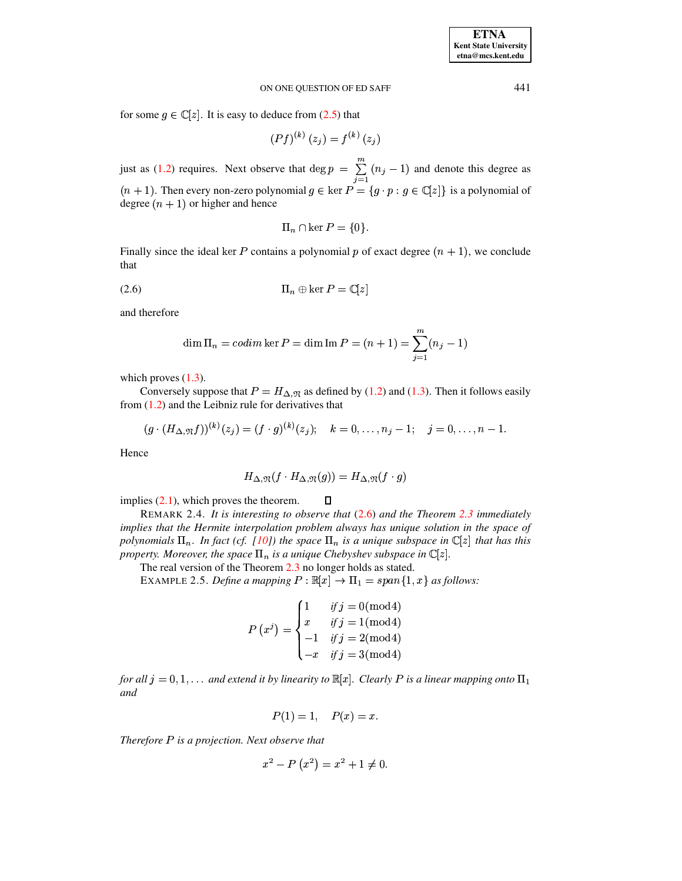# ON ONE QUESTION OF ED SAFF 441

for some  $g \in \mathbb{C}[z]$ . It is easy to deduce from [\(2.5\)](#page-1-2) that

$$
(Pf)^{(k)}(z_j) = f^{(k)}(z_j)
$$

just as [\(1.2\)](#page-0-1) requires. Next observe that  $\deg p = \sum_{i=1}^{m} (n_i - 1)$  and denote this degree as  $(n + 1)$ . Then every non-zero polynomial  $g \in \ker P = \{g \cdot p : g \in \mathbb{C}[z]\}$  is a polynomial of degree  $(n + 1)$  or higher and hence

$$
\Pi_n \cap \ker P = \{0\}.
$$

<span id="page-2-0"></span>Finally since the ideal ker P contains a polynomial p of exact degree  $(n + 1)$ , we conclude that

$$
(2.6) \t\t \t\t \Pi_n \oplus \ker P = \mathbb{C}[z]
$$

and therefore

$$
\dim \Pi_n = \text{codim} \ker P = \dim \text{Im } P = (n+1) = \sum_{j=1}^m (n_j - 1)
$$

which proves  $(1.3)$ .

Conversely suppose that  $P = H_{\Delta,\mathfrak{N}}$  as defined by [\(1.2\)](#page-0-1) and [\(1.3\)](#page-0-2). Then it follows easily from [\(1.2\)](#page-0-1) and the Leibniz rule for derivatives that

$$
(g \cdot (H_{\Delta, \mathfrak{N}}f))^{(k)}(z_j) = (f \cdot g)^{(k)}(z_j); \quad k = 0, \ldots, n_j - 1; \quad j = 0, \ldots, n - 1.
$$

Hence

$$
H_{\Delta,\mathfrak{N}}(f\cdot H_{\Delta,\mathfrak{N}}(g))=H_{\Delta,\mathfrak{N}}(f\cdot g)
$$

implies [\(2.1\)](#page-1-0), which proves the theorem.  $\Box$ 

REMARK 2.4. *It is interesting to observe that* [\(2.6\)](#page-2-0) *and the Theorem [2.3](#page-1-3) immediately implies that the Hermite interpolation problem always has unique solution in the space of polynomials*  $\Pi_n$ *. In fact (cf. [\[10\]](#page-6-5)) the space*  $\Pi_n$  *is a unique subspace in*  $\mathbb{C}[z]$  *that has this property. Moreover, the space*  $\Pi_n$  *is a unique Chebyshev subspace in*  $\mathbb{C}[z]$ *.* 

The real version of the Theorem [2.3](#page-1-3) no longer holds as stated.

EXAMPLE 2.5. *Define a mapping*  $P : \mathbb{R}[x] \to \Pi_1 = span\{1, x\}$  *as follows:* 

$$
P(x^{j}) = \begin{cases} 1 & if j = 0 \text{ (mod 4)} \\ x & if j = 1 \text{ (mod 4)} \\ -1 & if j = 2 \text{ (mod 4)} \\ -x & if j = 3 \text{ (mod 4)} \end{cases}
$$

for all  $j = 0, 1, \ldots$  and extend it by linearity to  $\mathbb{R}[x]$ . Clearly P is a linear mapping onto  $\Pi_1$ *and*

$$
P(1) = 1, \quad P(x) = x.
$$

*Therefore* \$ *is a projection. Next observe that*

$$
x^{2} - P(x^{2}) = x^{2} + 1 \neq 0.
$$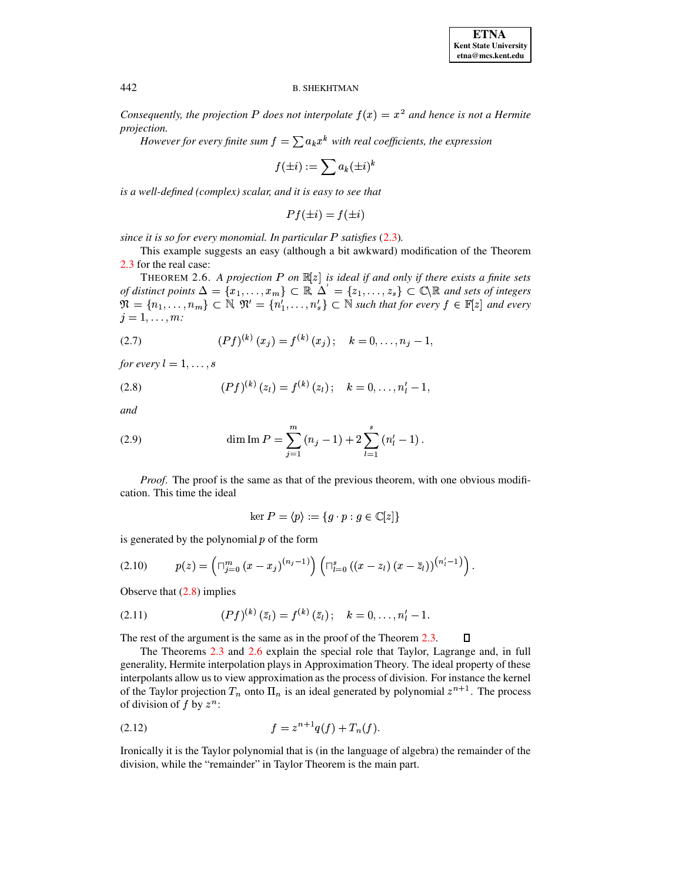#### **B. SHEKHTMAN**

Consequently, the projection P does not interpolate  $f(x) = x^2$  and hence is not a Hermite projection.

However for every finite sum  $f = \sum a_k x^k$  with real coefficients, the expression

$$
f(\pm i):=\sum a_k(\pm i)^k
$$

is a well-defined (complex) scalar, and it is easy to see that

$$
Pf(\pm i) = f(\pm i)
$$

since it is so for every monomial. In particular  $P$  satisfies  $(2.3)$ .

This example suggests an easy (although a bit awkward) modification of the Theorem 2.3 for the real case:

<span id="page-3-1"></span>THEOREM 2.6. A projection P on  $\mathbb{R}[z]$  is ideal if and only if there exists a finite sets of distinct points  $\Delta = \{x_1, \ldots, x_m\} \subset \mathbb{R}, \Delta' = \{z_1, \ldots, z_s\} \subset \mathbb{C} \backslash \mathbb{R}$  and sets of integers  $\mathfrak{N} = \{n_1, \ldots, n_m\} \subset \mathbb{N}, \mathfrak{N}' = \{n'_1, \ldots, n'_s\} \subset \mathbb{N}$  such that for every  $f \in \mathbb{F}[z]$  and every  $j=1,\ldots,m$ :

(2.7) 
$$
(Pf)^{(k)}(x_j) = f^{(k)}(x_j); \quad k = 0, \ldots, n_j - 1,
$$

<span id="page-3-0"></span>for every  $l = 1, \ldots, s$ 

(2.8) 
$$
(Pf)^{(k)}(z_l) = f^{(k)}(z_l); \quad k = 0, \ldots, n'_l - 1,
$$

and

(2.9) 
$$
\dim \text{Im } P = \sum_{j=1}^{m} (n_j - 1) + 2 \sum_{l=1}^{s} (n'_l - 1).
$$

*Proof.* The proof is the same as that of the previous theorem, with one obvious modification. This time the ideal

$$
\ker P = \langle p \rangle := \{ g \cdot p : g \in \mathbb{C}[z] \}
$$

is generated by the polynomial  $p$  of the form

$$
(2.10) \t p(z) = \left( \bigcap_{j=0}^{m} (x - x_j)^{(n_j - 1)} \right) \left( \bigcap_{l=0}^{s} ((x - z_l) (x - \bar{z}_l))^{(n'_l - 1)} \right)
$$

Observe that  $(2.8)$  implies

(2.11) 
$$
(Pf)^{(k)}(\bar{z}_l) = f^{(k)}(\bar{z}_l); \quad k = 0, \ldots, n'_l - 1.
$$

The rest of the argument is the same as in the proof of the Theorem  $2.3$ .  $\Box$ 

The Theorems 2.3 and 2.6 explain the special role that Taylor, Lagrange and, in full generality, Hermite interpolation plays in Approximation Theory. The ideal property of these interpolants allow us to view approximation as the process of division. For instance the kernel of the Taylor projection  $T_n$  onto  $\Pi_n$  is an ideal generated by polynomial  $z^{n+1}$ . The process of division of f by  $z^n$ :

(2.12) 
$$
f = z^{n+1}q(f) + T_n(f).
$$

Ironically it is the Taylor polynomial that is (in the language of algebra) the remainder of the division, while the "remainder" in Taylor Theorem is the main part.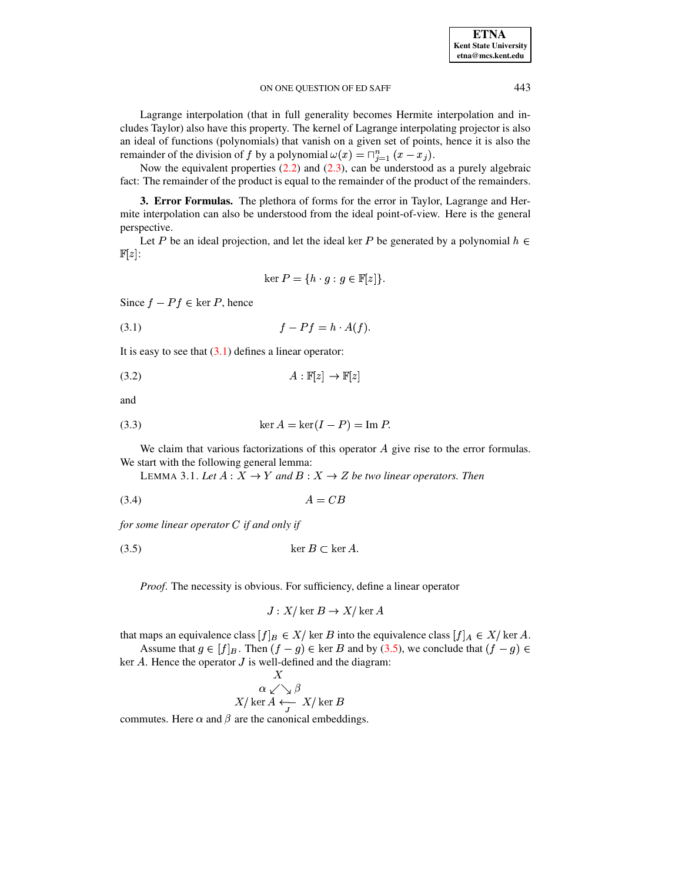#### ON ONE OUESTION OF ED SAFF

Lagrange interpolation (that in full generality becomes Hermite interpolation and includes Taylor) also have this property. The kernel of Lagrange interpolating projector is also an ideal of functions (polynomials) that vanish on a given set of points, hence it is also the remainder of the division of f by a polynomial  $\omega(x) = \bigcap_{i=1}^{n} (x - x_i)$ .

Now the equivalent properties  $(2.2)$  and  $(2.3)$ , can be understood as a purely algebraic fact: The remainder of the product is equal to the remainder of the product of the remainders.

3. Error Formulas. The plethora of forms for the error in Taylor, Lagrange and Hermite interpolation can also be understood from the ideal point-of-view. Here is the general perspective.

Let P be an ideal projection, and let the ideal ker P be generated by a polynomial  $h \in$  $\mathbb{F}[z]$ :

$$
\ker P = \{ h \cdot g : g \in \mathbb{F}[z] \}.
$$

<span id="page-4-0"></span>Since  $f - Pf \in \ker P$ , hence

$$
(3.1) \t\t f - Pf = h \cdot A(f).
$$

It is easy to see that  $(3.1)$  defines a linear operator:

$$
(3.2)\quad A: \mathbb{F}[z] \to \mathbb{F}[z]
$$

<span id="page-4-2"></span>and

(3.3) 
$$
\ker A = \ker(I - P) = \operatorname{Im} P.
$$

<span id="page-4-3"></span>We claim that various factorizations of this operator  $A$  give rise to the error formulas. We start with the following general lemma:

<span id="page-4-1"></span>LEMMA 3.1. Let  $A: X \to Y$  and  $B: X \to Z$  be two linear operators. Then

 $(3.4)$  $A = CB$ 

for some linear operator  $C$  if and only if

$$
(3.5) \t\t\t\t\ker B \subset \ker A
$$

Proof. The necessity is obvious. For sufficiency, define a linear operator

$$
J: X/\ker B \to X/\ker A
$$

that maps an equivalence class  $[f]_B \in X/$  ker B into the equivalence class  $[f]_A \in X/$  ker A.

Assume that  $g \in [f]_B$ . Then  $(f - g) \in \ker B$  and by (3.5), we conclude that  $(f - g) \in$ ker  $A$ . Hence the operator  $J$  is well-defined and the diagram:  $\mathbf v$ 

$$
\alpha \swarrow \searrow \beta
$$
  

$$
X/\ker A \xleftarrow{A} X/\ker B
$$

commutes. Here  $\alpha$  and  $\beta$  are the canonical embeddings.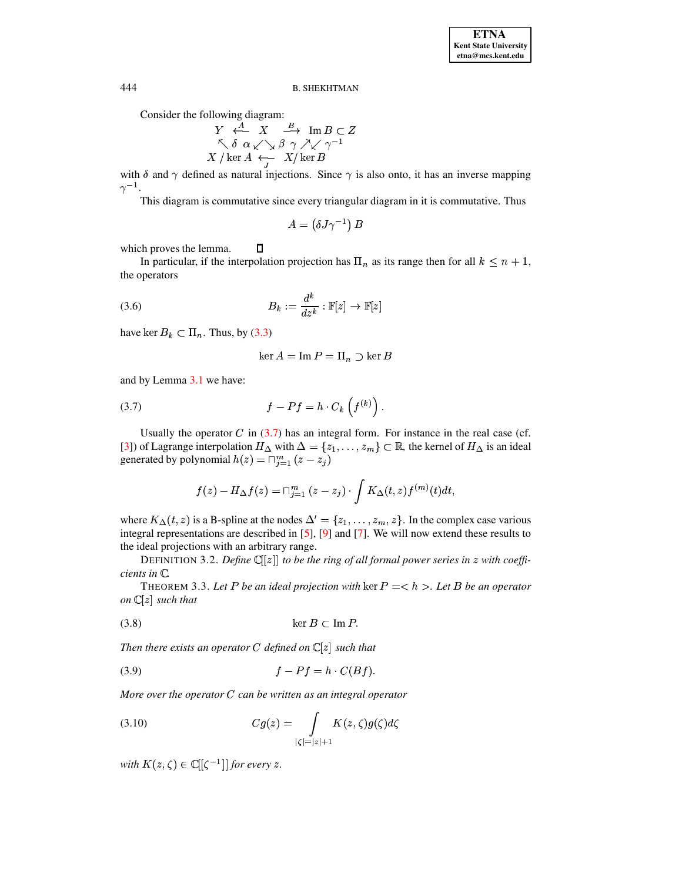#### **B. SHEKHTMAN**

Consider the following diagram:

$$
\begin{array}{ccc}\nY & \stackrel{A}{\longleftrightarrow} & X & \stackrel{B}{\longrightarrow} & \text{Im } B \subset Z \\
\nwarrow \delta & \alpha \swarrow \searrow \beta & \gamma \nearrow \swarrow \gamma^{-1} \\
X / \ker A & \stackrel{\longleftarrow}{\longleftarrow} & X / \ker B\n\end{array}
$$

with  $\delta$  and  $\gamma$  defined as natural injections. Since  $\gamma$  is also onto, it has an inverse mapping  $\gamma^{-1}.$ 

This diagram is commutative since every triangular diagram in it is commutative. Thus

$$
A = (\delta J \gamma^{-1}) B
$$

 $\Box$ which proves the lemma.

In particular, if the interpolation projection has  $\Pi_n$  as its range then for all  $k \leq n + 1$ , the operators

(3.6) 
$$
B_k := \frac{d^k}{dz^k} : \mathbb{F}[z] \to \mathbb{F}[z]
$$

have ker  $B_k \subset \Pi_n$ . Thus, by (3.3)

$$
\ker A = \operatorname{Im} P = \Pi_n \supset \ker B
$$

<span id="page-5-0"></span>and by Lemma 3.1 we have:

$$
(3.7) \t f - Pf = h \cdot C_k \left( f^{(k)} \right)
$$

Usually the operator  $C$  in (3.7) has an integral form. For instance in the real case (cf. [3]) of Lagrange interpolation  $H_{\Delta}$  with  $\Delta = \{z_1, \ldots, z_m\} \subset \mathbb{R}$ , the kernel of  $H_{\Delta}$  is an ideal generated by polynomial  $h(z) = \overline{\bigcap_{i=1}^{m} (z - z_i)}$ 

$$
f(z) - H_{\Delta}f(z) = \sqcap_{j=1}^{m} (z - z_j) \cdot \int K_{\Delta}(t, z) f^{(m)}(t) dt
$$

where  $K_{\Delta}(t, z)$  is a B-spline at the nodes  $\Delta' = \{z_1, \ldots, z_m, z\}$ . In the complex case various integral representations are described in [5], [9] and [7]. We will now extend these results to the ideal projections with an arbitrary range.

DEFINITION 3.2. Define  $\mathbb{C}[[z]]$  to be the ring of all formal power series in z with coefficients in C.

<span id="page-5-1"></span>THEOREM 3.3. Let P be an ideal projection with ker  $P = \langle h \rangle$ . Let B be an operator on  $\mathbb{C}[z]$  such that

$$
(3.8)\qquad \qquad \ker B \subset \operatorname{Im} P
$$

Then there exists an operator C defined on  $\mathbb{C}[z]$  such that

$$
(3.9) \t\t f - Pf = h \cdot C(Bf).
$$

<span id="page-5-2"></span>More over the operator  $C$  can be written as an integral operator

(3.10) 
$$
Cg(z) = \int_{|\zeta| = |z| + 1} K(z, \zeta) g(\zeta) d\zeta
$$

with  $K(z,\zeta) \in \mathbb{C}[[\zeta^{-1}]]$  for every z.